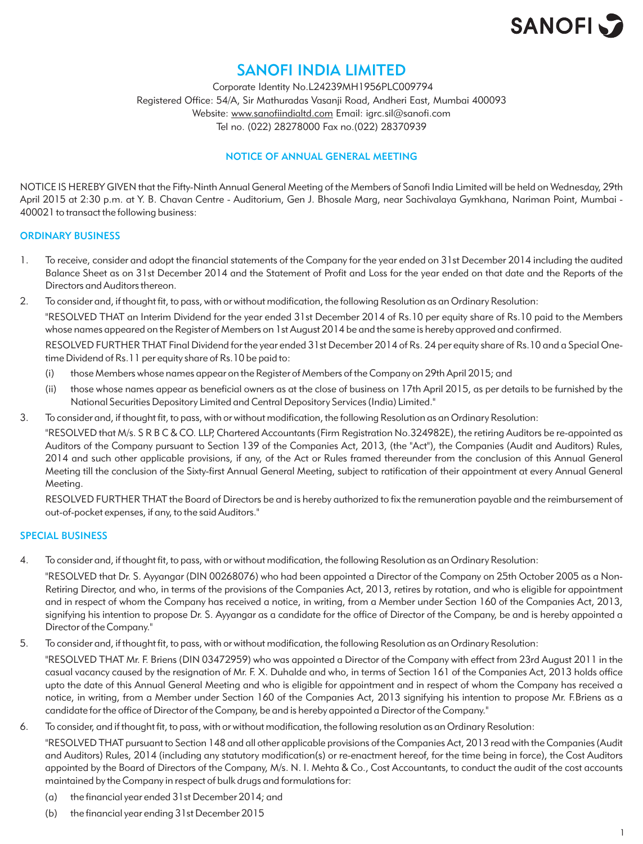

### SANOFI INDIA LIMITED

 Corporate Identity No.L24239MH1956PLC009794 Registered Office: 54/A, Sir Mathuradas Vasanji Road, Andheri East, Mumbai 400093 Website: www.sanofiindialtd.com Email: igrc.sil@sanofi.com Tel no. (022) 28278000 Fax no.(022) 28370939

### NOTICE OF ANNUAL GENERAL MEETING

NOTICE IS HEREBY GIVEN that the Fifty-Ninth Annual General Meeting of the Members of Sanofi India Limited will be held on Wednesday, 29th April 2015 at 2:30 p.m. at Y. B. Chavan Centre - Auditorium, Gen J. Bhosale Marg, near Sachivalaya Gymkhana, Nariman Point, Mumbai - 400021 to transact the following business:

### ORDINARY BUSINESS

- 1. To receive, consider and adopt the financial statements of the Company for the year ended on 31st December 2014 including the audited Balance Sheet as on 31st December 2014 and the Statement of Profit and Loss for the year ended on that date and the Reports of the Directors and Auditors thereon.
- 2. To consider and, if thought fit, to pass, with or without modification, the following Resolution as an Ordinary Resolution:

"RESOLVED THAT an Interim Dividend for the year ended 31st December 2014 of Rs.10 per equity share of Rs.10 paid to the Members whose names appeared on the Register of Members on 1st August 2014 be and the same is hereby approved and confirmed.

RESOLVED FURTHER THAT Final Dividend for the year ended 31st December 2014 of Rs. 24 per equity share of Rs.10 and a Special Onetime Dividend of Rs.11 per equity share of Rs.10 be paid to:

- (i) those Members whose names appear on the Register of Members of the Company on 29th April 2015; and
- (ii) those whose names appear as beneficial owners as at the close of business on 17th April 2015, as per details to be furnished by the National Securities Depository Limited and Central Depository Services (India) Limited."
- 3. To consider and, if thought fit, to pass, with or without modification, the following Resolution as an Ordinary Resolution:

"RESOLVED that M/s. S R B C & CO. LLP, Chartered Accountants (Firm Registration No.324982E), the retiring Auditors be re-appointed as Auditors of the Company pursuant to Section 139 of the Companies Act, 2013, (the "Act"), the Companies (Audit and Auditors) Rules, 2014 and such other applicable provisions, if any, of the Act or Rules framed thereunder from the conclusion of this Annual General Meeting till the conclusion of the Sixty-first Annual General Meeting, subject to ratification of their appointment at every Annual General Meeting.

RESOLVED FURTHER THAT the Board of Directors be and is hereby authorized to fix the remuneration payable and the reimbursement of out-of-pocket expenses, if any, to the said Auditors."

### SPECIAL BUSINESS

4. To consider and, if thought fit, to pass, with or without modification, the following Resolution as an Ordinary Resolution:

"RESOLVED that Dr. S. Ayyangar (DIN 00268076) who had been appointed a Director of the Company on 25th October 2005 as a Non-Retiring Director, and who, in terms of the provisions of the Companies Act, 2013, retires by rotation, and who is eligible for appointment and in respect of whom the Company has received a notice, in writing, from a Member under Section 160 of the Companies Act, 2013, signifying his intention to propose Dr. S. Ayyangar as a candidate for the office of Director of the Company, be and is hereby appointed a Director of the Company."

5. To consider and, if thought fit, to pass, with or without modification, the following Resolution as an Ordinary Resolution:

"RESOLVED THAT Mr. F. Briens (DIN 03472959) who was appointed a Director of the Company with effect from 23rd August 2011 in the casual vacancy caused by the resignation of Mr. F. X. Duhalde and who, in terms of Section 161 of the Companies Act, 2013 holds office upto the date of this Annual General Meeting and who is eligible for appointment and in respect of whom the Company has received a notice, in writing, from a Member under Section 160 of the Companies Act, 2013 signifying his intention to propose Mr. F.Briens as a candidate for the office of Director of the Company, be and is hereby appointed a Director of the Company."

6. To consider, and if thought fit, to pass, with or without modification, the following resolution as an Ordinary Resolution:

"RESOLVED THAT pursuant to Section 148 and all other applicable provisions of the Companies Act, 2013 read with the Companies (Audit and Auditors) Rules, 2014 (including any statutory modification(s) or re-enactment hereof, for the time being in force), the Cost Auditors appointed by the Board of Directors of the Company, M/s. N. I. Mehta & Co., Cost Accountants, to conduct the audit of the cost accounts maintained by the Company in respect of bulk drugs and formulations for:

- (a) the financial year ended 31st December 2014; and
- (b) the financial year ending 31st December 2015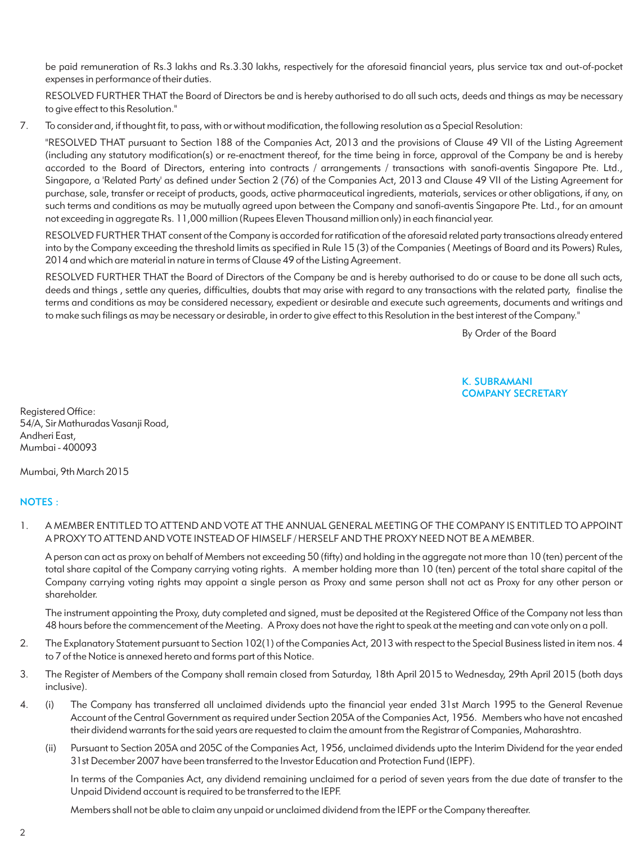be paid remuneration of Rs.3 lakhs and Rs.3.30 lakhs, respectively for the aforesaid financial years, plus service tax and out-of-pocket expenses in performance of their duties.

RESOLVED FURTHER THAT the Board of Directors be and is hereby authorised to do all such acts, deeds and things as may be necessary to give effect to this Resolution."

7. To consider and, if thought fit, to pass, with or without modification, the following resolution as a Special Resolution:

"RESOLVED THAT pursuant to Section 188 of the Companies Act, 2013 and the provisions of Clause 49 VII of the Listing Agreement (including any statutory modification(s) or re-enactment thereof, for the time being in force, approval of the Company be and is hereby accorded to the Board of Directors, entering into contracts / arrangements / transactions with sanofi-aventis Singapore Pte. Ltd., Singapore, a 'Related Party' as defined under Section 2 (76) of the Companies Act, 2013 and Clause 49 VII of the Listing Agreement for purchase, sale, transfer or receipt of products, goods, active pharmaceutical ingredients, materials, services or other obligations, if any, on such terms and conditions as may be mutually agreed upon between the Company and sanofi-aventis Singapore Pte. Ltd., for an amount not exceeding in aggregate Rs. 11,000 million (Rupees Eleven Thousand million only) in each financial year.

RESOLVED FURTHER THAT consent of the Company is accorded for ratification of the aforesaid related party transactions already entered into by the Company exceeding the threshold limits as specified in Rule 15 (3) of the Companies ( Meetings of Board and its Powers) Rules, 2014 and which are material in nature in terms of Clause 49 of the Listing Agreement.

RESOLVED FURTHER THAT the Board of Directors of the Company be and is hereby authorised to do or cause to be done all such acts, deeds and things , settle any queries, difficulties, doubts that may arise with regard to any transactions with the related party, finalise the terms and conditions as may be considered necessary, expedient or desirable and execute such agreements, documents and writings and to make such filings as may be necessary or desirable, in order to give effect to this Resolution in the best interest of the Company."

By Order of the Board

### K. SUBRAMANI COMPANY SECRETARY

Registered Office: 54/A, Sir Mathuradas Vasanji Road, Andheri East, Mumbai - 400093

Mumbai, 9th March 2015

### NOTES :

1. A MEMBER ENTITLED TO ATTEND AND VOTE AT THE ANNUAL GENERAL MEETING OF THE COMPANY IS ENTITLED TO APPOINT A PROXY TO ATTEND AND VOTE INSTEAD OF HIMSELF / HERSELF AND THE PROXY NEED NOT BE A MEMBER.

A person can act as proxy on behalf of Members not exceeding 50 (fifty) and holding in the aggregate not more than 10 (ten) percent of the total share capital of the Company carrying voting rights. A member holding more than 10 (ten) percent of the total share capital of the Company carrying voting rights may appoint a single person as Proxy and same person shall not act as Proxy for any other person or shareholder.

The instrument appointing the Proxy, duty completed and signed, must be deposited at the Registered Office of the Company not less than 48 hours before the commencement of the Meeting. A Proxy does not have the right to speak at the meeting and can vote only on a poll.

- 2. The Explanatory Statement pursuant to Section 102(1) of the Companies Act, 2013 with respect to the Special Business listed in item nos. 4 to 7 of the Notice is annexed hereto and forms part of this Notice.
- 3. The Register of Members of the Company shall remain closed from Saturday, 18th April 2015 to Wednesday, 29th April 2015 (both days inclusive).
- 4. (i) The Company has transferred all unclaimed dividends upto the financial year ended 31st March 1995 to the General Revenue Account of the Central Government as required under Section 205A of the Companies Act, 1956. Members who have not encashed their dividend warrants for the said years are requested to claim the amount from the Registrar of Companies, Maharashtra.
	- (ii) Pursuant to Section 205A and 205C of the Companies Act, 1956, unclaimed dividends upto the Interim Dividend for the year ended 31st December 2007 have been transferred to the Investor Education and Protection Fund (IEPF).

In terms of the Companies Act, any dividend remaining unclaimed for a period of seven years from the due date of transfer to the Unpaid Dividend account is required to be transferred to the IEPF.

Members shall not be able to claim any unpaid or unclaimed dividend from the IEPF or the Company thereafter.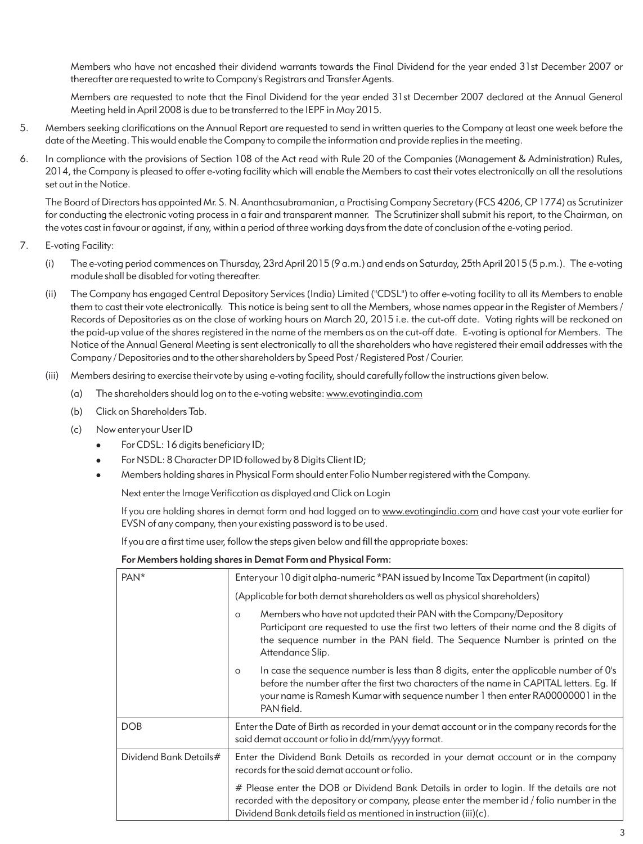Members who have not encashed their dividend warrants towards the Final Dividend for the year ended 31st December 2007 or thereafter are requested to write to Company's Registrars and Transfer Agents.

Members are requested to note that the Final Dividend for the year ended 31st December 2007 declared at the Annual General Meeting held in April 2008 is due to be transferred to the IEPF in May 2015.

- 5. Members seeking clarifications on the Annual Report are requested to send in written queries to the Company at least one week before the date of the Meeting. This would enable the Company to compile the information and provide replies in the meeting.
- 6. In compliance with the provisions of Section 108 of the Act read with Rule 20 of the Companies (Management & Administration) Rules, 2014, the Company is pleased to offer e-voting facility which will enable the Members to cast their votes electronically on all the resolutions set out in the Notice.

The Board of Directors has appointed Mr. S. N. Ananthasubramanian, a Practising Company Secretary (FCS 4206, CP 1774) as Scrutinizer for conducting the electronic voting process in a fair and transparent manner. The Scrutinizer shall submit his report, to the Chairman, on the votes cast in favour or against, if any, within a period of three working days from the date of conclusion of the e-voting period.

- 7. E-voting Facility:
	- (i) The e-voting period commences on Thursday, 23rd April 2015 (9 a.m.) and ends on Saturday, 25th April 2015 (5 p.m.). The e-voting module shall be disabled for voting thereafter.
	- (ii) The Company has engaged Central Depository Services (India) Limited ("CDSL") to offer e-voting facility to all its Members to enable them to cast their vote electronically. This notice is being sent to all the Members, whose names appear in the Register of Members / Records of Depositories as on the close of working hours on March 20, 2015 i.e. the cut-off date. Voting rights will be reckoned on the paid-up value of the shares registered in the name of the members as on the cut-off date. E-voting is optional for Members. The Notice of the Annual General Meeting is sent electronically to all the shareholders who have registered their email addresses with the Company / Depositories and to the other shareholders by Speed Post / Registered Post / Courier.
	- (iii) Members desiring to exercise their vote by using e-voting facility, should carefully follow the instructions given below.
		- (a) The shareholders should log on to the e-voting website: www.evotingindia.com
		- (b) Click on Shareholders Tab.
		- (c) Now enter your User ID
			- For CDSL: 16 digits beneficiary ID;
			- For NSDL: 8 Character DP ID followed by 8 Digits Client ID;
			- <sup>l</sup>Members holding shares in Physical Form should enter Folio Number registered with the Company.

Next enter the Image Verification as displayed and Click on Login

If you are holding shares in demat form and had logged on to www.evotingindia.com and have cast your vote earlier for EVSN of any company, then your existing password is to be used.

If you are a first time user, follow the steps given below and fill the appropriate boxes:

### For Members holding shares in Demat Form and Physical Form:

| PAN <sup>*</sup>       | Enter your 10 digit alpha-numeric *PAN issued by Income Tax Department (in capital)                                                                                                                                                                                                        |  |  |
|------------------------|--------------------------------------------------------------------------------------------------------------------------------------------------------------------------------------------------------------------------------------------------------------------------------------------|--|--|
|                        | (Applicable for both demat shareholders as well as physical shareholders)                                                                                                                                                                                                                  |  |  |
|                        | Members who have not updated their PAN with the Company/Depository<br>$\circ$<br>Participant are requested to use the first two letters of their name and the 8 digits of<br>the sequence number in the PAN field. The Sequence Number is printed on the<br>Attendance Slip.               |  |  |
|                        | In case the sequence number is less than 8 digits, enter the applicable number of 0's<br>$\circ$<br>before the number after the first two characters of the name in CAPITAL letters. Eq. If<br>your name is Ramesh Kumar with sequence number 1 then enter RA00000001 in the<br>PAN field. |  |  |
| <b>DOB</b>             | Enter the Date of Birth as recorded in your demat account or in the company records for the<br>said demat account or folio in dd/mm/yyyy format.                                                                                                                                           |  |  |
| Dividend Bank Details# | Enter the Dividend Bank Details as recorded in your demat account or in the company<br>records for the said demat account or folio.                                                                                                                                                        |  |  |
|                        | # Please enter the DOB or Dividend Bank Details in order to login. If the details are not<br>recorded with the depository or company, please enter the member id / folio number in the<br>Dividend Bank details field as mentioned in instruction (iii)(c).                                |  |  |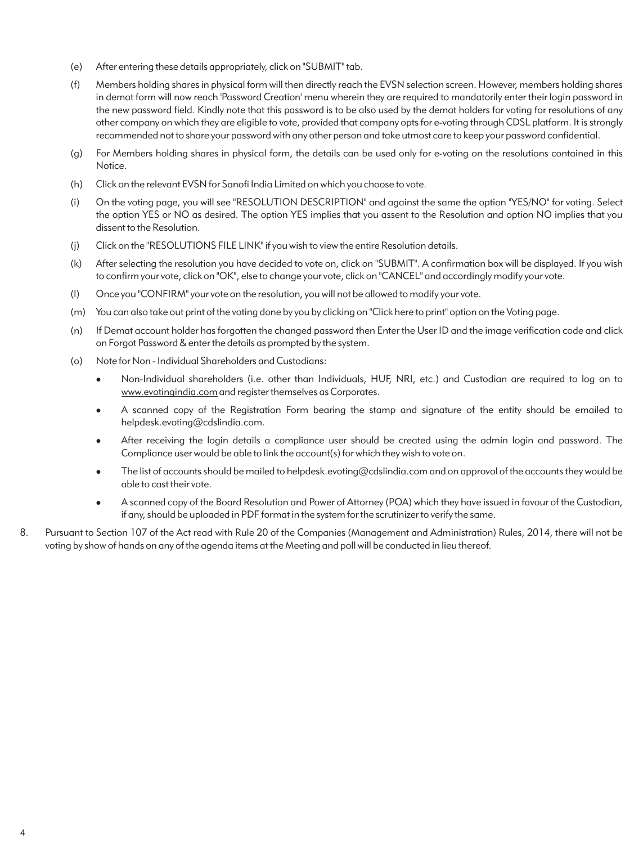- (e) After entering these details appropriately, click on "SUBMIT" tab.
- (f) Members holding shares in physical form will then directly reach the EVSN selection screen. However, members holding shares in demat form will now reach 'Password Creation' menu wherein they are required to mandatorily enter their login password in the new password field. Kindly note that this password is to be also used by the demat holders for voting for resolutions of any other company on which they are eligible to vote, provided that company opts for e-voting through CDSL platform. It is strongly recommended not to share your password with any other person and take utmost care to keep your password confidential.
- (g) For Members holding shares in physical form, the details can be used only for e-voting on the resolutions contained in this Notice.
- (h) Click on the relevant EVSN for Sanofi India Limited on which you choose to vote.
- (i) On the voting page, you will see "RESOLUTION DESCRIPTION" and against the same the option "YES/NO" for voting. Select the option YES or NO as desired. The option YES implies that you assent to the Resolution and option NO implies that you dissent to the Resolution.
- (j) Click on the "RESOLUTIONS FILE LINK" if you wish to view the entire Resolution details.
- (k) After selecting the resolution you have decided to vote on, click on "SUBMIT". A confirmation box will be displayed. If you wish to confirm your vote, click on "OK", else to change your vote, click on "CANCEL" and accordingly modify your vote.
- (l) Once you "CONFIRM" your vote on the resolution, you will not be allowed to modify your vote.
- (m) You can also take out print of the voting done by you by clicking on "Click here to print" option on the Voting page.
- (n) If Demat account holder has forgotten the changed password then Enter the User ID and the image verification code and click on Forgot Password & enter the details as prompted by the system.
- (o) Note for Non Individual Shareholders and Custodians:
	- <sup>l</sup>Non-Individual shareholders (i.e. other than Individuals, HUF, NRI, etc.) and Custodian are required to log on to www.evotingindia.com and register themselves as Corporates.
	- A scanned copy of the Registration Form bearing the stamp and signature of the entity should be emailed to helpdesk.evoting@cdslindia.com.
	- <sup>l</sup>After receiving the login details a compliance user should be created using the admin login and password. The Compliance user would be able to link the account(s) for which they wish to vote on.
	- The list of accounts should be mailed to helpdesk.evoting@cdslindia.com and on approval of the accounts they would be able to cast their vote.
	- <sup>l</sup>A scanned copy of the Board Resolution and Power of Attorney (POA) which they have issued in favour of the Custodian, if any, should be uploaded in PDF format in the system for the scrutinizer to verify the same.
- 8. Pursuant to Section 107 of the Act read with Rule 20 of the Companies (Management and Administration) Rules, 2014, there will not be voting by show of hands on any of the agenda items at the Meeting and poll will be conducted in lieu thereof.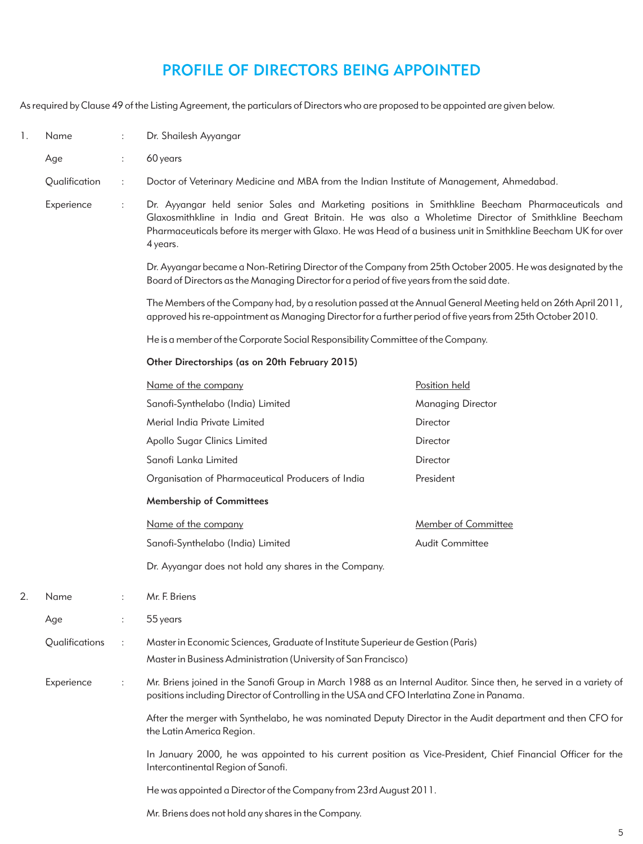# PROFILE OF DIRECTORS BEING APPOINTED

As required by Clause 49 of the Listing Agreement, the particulars of Directors who are proposed to be appointed are given below.

| 1. | Name           | ÷                    | Dr. Shailesh Ayyangar                                                                                                                                                                                                                                                                                                                                                                                                                                                                                             |                          |  |
|----|----------------|----------------------|-------------------------------------------------------------------------------------------------------------------------------------------------------------------------------------------------------------------------------------------------------------------------------------------------------------------------------------------------------------------------------------------------------------------------------------------------------------------------------------------------------------------|--------------------------|--|
|    | Age            | $\ddot{\phantom{a}}$ | 60 years                                                                                                                                                                                                                                                                                                                                                                                                                                                                                                          |                          |  |
|    | Qualification  | ÷                    | Doctor of Veterinary Medicine and MBA from the Indian Institute of Management, Ahmedabad.                                                                                                                                                                                                                                                                                                                                                                                                                         |                          |  |
|    | Experience     | $\ddot{\phantom{a}}$ | Dr. Ayyangar held senior Sales and Marketing positions in Smithkline Beecham Pharmaceuticals and<br>Glaxosmithkline in India and Great Britain. He was also a Wholetime Director of Smithkline Beecham<br>Pharmaceuticals before its merger with Glaxo. He was Head of a business unit in Smithkline Beecham UK for over<br>4 years.                                                                                                                                                                              |                          |  |
|    |                |                      | Dr. Ayyangar became a Non-Retiring Director of the Company from 25th October 2005. He was designated by the<br>Board of Directors as the Managing Director for a period of five years from the said date.                                                                                                                                                                                                                                                                                                         |                          |  |
|    |                |                      | The Members of the Company had, by a resolution passed at the Annual General Meeting held on 26th April 2011,<br>approved his re-appointment as Managing Director for a further period of five years from 25th October 2010.                                                                                                                                                                                                                                                                                      |                          |  |
|    |                |                      | He is a member of the Corporate Social Responsibility Committee of the Company.                                                                                                                                                                                                                                                                                                                                                                                                                                   |                          |  |
|    |                |                      | Other Directorships (as on 20th February 2015)                                                                                                                                                                                                                                                                                                                                                                                                                                                                    |                          |  |
|    |                |                      | Name of the company                                                                                                                                                                                                                                                                                                                                                                                                                                                                                               | Position held            |  |
|    |                |                      | Sanofi-Synthelabo (India) Limited                                                                                                                                                                                                                                                                                                                                                                                                                                                                                 | <b>Managing Director</b> |  |
|    |                |                      | Merial India Private Limited                                                                                                                                                                                                                                                                                                                                                                                                                                                                                      | Director                 |  |
|    |                |                      | Apollo Sugar Clinics Limited                                                                                                                                                                                                                                                                                                                                                                                                                                                                                      | Director                 |  |
|    |                |                      | Sanofi Lanka Limited                                                                                                                                                                                                                                                                                                                                                                                                                                                                                              | Director                 |  |
|    |                |                      | Organisation of Pharmaceutical Producers of India                                                                                                                                                                                                                                                                                                                                                                                                                                                                 | President                |  |
|    |                |                      | <b>Membership of Committees</b>                                                                                                                                                                                                                                                                                                                                                                                                                                                                                   |                          |  |
|    |                |                      | Name of the company                                                                                                                                                                                                                                                                                                                                                                                                                                                                                               | Member of Committee      |  |
|    |                |                      | Sanofi-Synthelabo (India) Limited                                                                                                                                                                                                                                                                                                                                                                                                                                                                                 | <b>Audit Committee</b>   |  |
|    |                |                      | Dr. Ayyangar does not hold any shares in the Company.                                                                                                                                                                                                                                                                                                                                                                                                                                                             |                          |  |
| 2. | Name           | ÷                    | Mr. F. Briens                                                                                                                                                                                                                                                                                                                                                                                                                                                                                                     |                          |  |
|    | Age            |                      | 55 years                                                                                                                                                                                                                                                                                                                                                                                                                                                                                                          |                          |  |
|    | Qualifications | $\ddot{\cdot}$       | Master in Economic Sciences, Graduate of Institute Superieur de Gestion (Paris)<br>Master in Business Administration (University of San Francisco)                                                                                                                                                                                                                                                                                                                                                                |                          |  |
|    | Experience     | ÷                    | Mr. Briens joined in the Sanofi Group in March 1988 as an Internal Auditor. Since then, he served in a variety of<br>positions including Director of Controlling in the USA and CFO Interlatina Zone in Panama.<br>After the merger with Synthelabo, he was nominated Deputy Director in the Audit department and then CFO for<br>the Latin America Region.<br>In January 2000, he was appointed to his current position as Vice-President, Chief Financial Officer for the<br>Intercontinental Region of Sanofi. |                          |  |
|    |                |                      |                                                                                                                                                                                                                                                                                                                                                                                                                                                                                                                   |                          |  |
|    |                |                      |                                                                                                                                                                                                                                                                                                                                                                                                                                                                                                                   |                          |  |
|    |                |                      | He was appointed a Director of the Company from 23rd August 2011.                                                                                                                                                                                                                                                                                                                                                                                                                                                 |                          |  |
|    |                |                      | Mr. Briens does not hold any shares in the Company.                                                                                                                                                                                                                                                                                                                                                                                                                                                               |                          |  |

5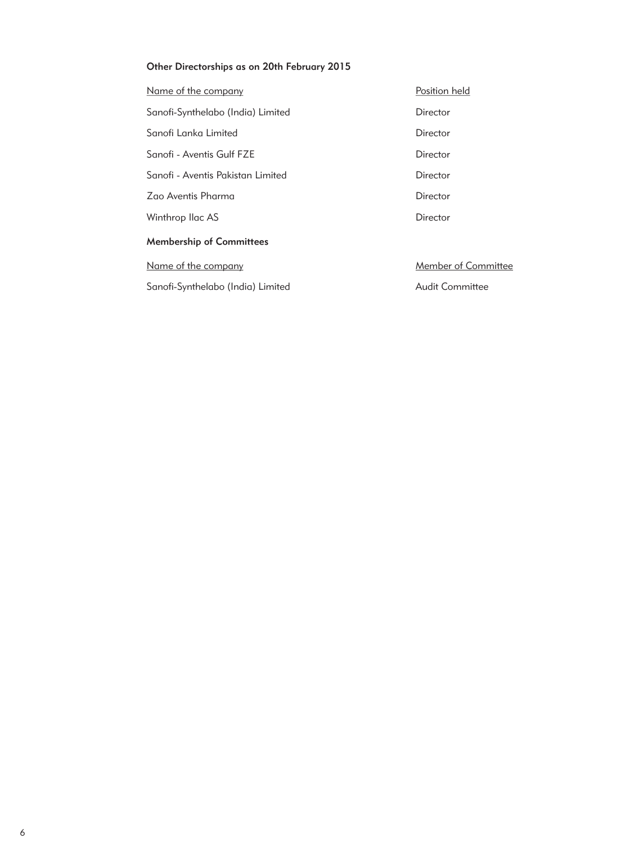### Other Directorships as on 20th February 2015

| Name of the company               | Position held          |
|-----------------------------------|------------------------|
| Sanofi-Synthelabo (India) Limited | Director               |
| Sanofi Lanka Limited              | Director               |
| Sanofi - Aventis Gulf FZE         | Director               |
| Sanofi - Aventis Pakistan Limited | Director               |
| Zao Aventis Pharma                | Director               |
| Winthrop Ilac AS                  | Director               |
| <b>Membership of Committees</b>   |                        |
| Name of the company               | Member of Committee    |
| Sanofi-Synthelabo (India) Limited | <b>Audit Committee</b> |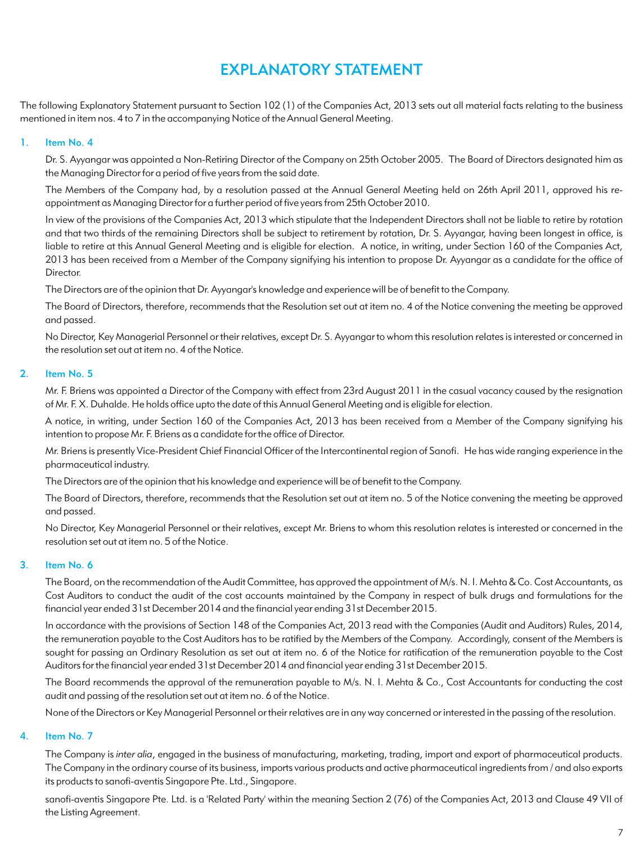# EXPLANATORY STATEMENT

The following Explanatory Statement pursuant to Section 102 (1) of the Companies Act, 2013 sets out all material facts relating to the business mentioned in item nos. 4 to 7 in the accompanying Notice of the Annual General Meeting.

### 1. Item No. 4

Dr. S. Ayyangar was appointed a Non-Retiring Director of the Company on 25th October 2005. The Board of Directors designated him as the Managing Director for a period of five years from the said date.

The Members of the Company had, by a resolution passed at the Annual General Meeting held on 26th April 2011, approved his reappointment as Managing Director for a further period of five years from 25th October 2010.

In view of the provisions of the Companies Act, 2013 which stipulate that the Independent Directors shall not be liable to retire by rotation and that two thirds of the remaining Directors shall be subject to retirement by rotation, Dr. S. Ayyangar, having been longest in office, is liable to retire at this Annual General Meeting and is eligible for election. A notice, in writing, under Section 160 of the Companies Act, 2013 has been received from a Member of the Company signifying his intention to propose Dr. Ayyangar as a candidate for the office of Director.

The Directors are of the opinion that Dr. Ayyangar's knowledge and experience will be of benefit to the Company.

The Board of Directors, therefore, recommends that the Resolution set out at item no. 4 of the Notice convening the meeting be approved and passed.

No Director, Key Managerial Personnel or their relatives, except Dr. S. Ayyangar to whom this resolution relates is interested or concerned in the resolution set out at item no. 4 of the Notice.

### 2. Item No. 5

Mr. F. Briens was appointed a Director of the Company with effect from 23rd August 2011 in the casual vacancy caused by the resignation of Mr. F. X. Duhalde. He holds office upto the date of this Annual General Meeting and is eligible for election.

A notice, in writing, under Section 160 of the Companies Act, 2013 has been received from a Member of the Company signifying his intention to propose Mr. F. Briens as a candidate for the office of Director.

Mr. Briens is presently Vice-President Chief Financial Officer of the Intercontinental region of Sanofi. He has wide ranging experience in the pharmaceutical industry.

The Directors are of the opinion that his knowledge and experience will be of benefit to the Company.

The Board of Directors, therefore, recommends that the Resolution set out at item no. 5 of the Notice convening the meeting be approved and passed.

No Director, Key Managerial Personnel or their relatives, except Mr. Briens to whom this resolution relates is interested or concerned in the resolution set out at item no. 5 of the Notice.

#### 3. Item No. 6

The Board, on the recommendation of the Audit Committee, has approved the appointment of M/s. N. I. Mehta & Co. Cost Accountants, as Cost Auditors to conduct the audit of the cost accounts maintained by the Company in respect of bulk drugs and formulations for the financial year ended 31st December 2014 and the financial year ending 31st December 2015.

In accordance with the provisions of Section 148 of the Companies Act, 2013 read with the Companies (Audit and Auditors) Rules, 2014, the remuneration payable to the Cost Auditors has to be ratified by the Members of the Company. Accordingly, consent of the Members is sought for passing an Ordinary Resolution as set out at item no. 6 of the Notice for ratification of the remuneration payable to the Cost Auditors for the financial year ended 31st December 2014 and financial year ending 31st December 2015.

The Board recommends the approval of the remuneration payable to M/s. N. I. Mehta & Co., Cost Accountants for conducting the cost audit and passing of the resolution set out at item no. 6 of the Notice.

None of the Directors or Key Managerial Personnel or their relatives are in any way concerned or interested in the passing of the resolution.

### 4. Item No. 7

The Company is *inter alia*, engaged in the business of manufacturing, marketing, trading, import and export of pharmaceutical products. The Company in the ordinary course of its business, imports various products and active pharmaceutical ingredients from / and also exports its products to sanofi-aventis Singapore Pte. Ltd., Singapore.

sanofi-aventis Singapore Pte. Ltd. is a 'Related Party' within the meaning Section 2 (76) of the Companies Act, 2013 and Clause 49 VII of the Listing Agreement.